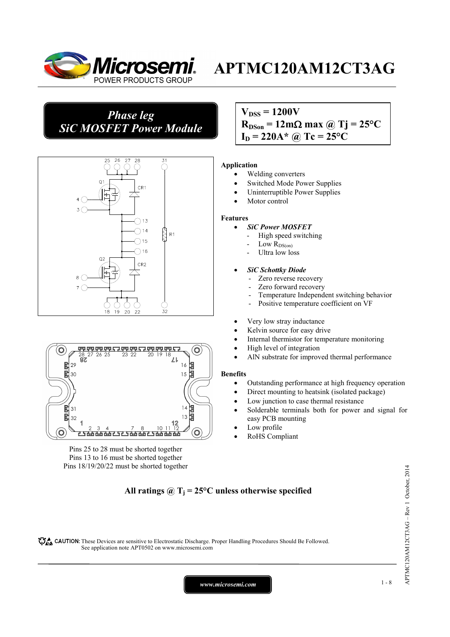

### *Phase leg SiC MOSFET Power Module*



#### (O  $\mathbb{Z}^2$  $R<sub>7</sub>$ 固固 陚 29  $16$ 闏  $15$ 30 甲甲 凅  $31$  $13$ 围 32 10 Ó <u> 15 ta ta ta 115 ta ta 115 ta ta ta</u>  $\circ$

Pins 25 to 28 must be shorted together Pins 13 to 16 must be shorted together Pins 18/19/20/22 must be shorted together

### $V_{\text{DSS}} = 1200V$

 $R_{DSon} = 12 \text{m}\Omega \text{ max}$  @ Tj = 25<sup>o</sup>C  $I_D = 220$ A\* @ Tc = 25°C

#### **Application**

- Welding converters
- Switched Mode Power Supplies
- Uninterruptible Power Supplies
- Motor control

#### **Features**

- *SiC Power MOSFET*
	- High speed switching
	- Low  $R_{DS(on)}$
	- Ultra low loss

#### • *SiC Schottky Diode*

- Zero reverse recovery
- Zero forward recovery
- Temperature Independent switching behavior
- Positive temperature coefficient on VF
- Very low stray inductance
- Kelvin source for easy drive
- Internal thermistor for temperature monitoring
- High level of integration
- AlN substrate for improved thermal performance

#### **Benefits**

- Outstanding performance at high frequency operation
- Direct mounting to heatsink (isolated package)
- Low junction to case thermal resistance
- Solderable terminals both for power and signal for easy PCB mounting
- Low profile
- RoHS Compliant

### All ratings  $\omega_{\text{I}} = 25^{\circ}\text{C}$  unless otherwise specified

CAUTION: These Devices are sensitive to Electrostatic Discharge. Proper Handling Procedures Should Be Followed. See application note APT0502 on www.microsemi.com

*www.microsemi.com* 1-8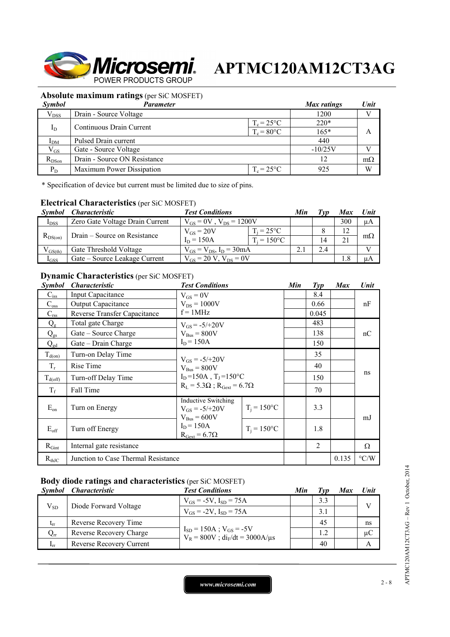

### **Absolute maximum ratings** (per SiC MOSFET)

| <b>Symbol</b>  | Parameter                    |                     | Max ratings | Unit      |
|----------------|------------------------------|---------------------|-------------|-----------|
| $V_{DSS}$      | Drain - Source Voltage       |                     | 1200        |           |
|                |                              | $T_c = 25^{\circ}C$ | $220*$      |           |
| $I_D$          | Continuous Drain Current     | $T_c = 80$ °C       | $165*$      |           |
| $_{\text{DM}}$ | Pulsed Drain current         |                     | 440         |           |
| $V_{GS}$       | Gate - Source Voltage        |                     | $-10/25V$   |           |
| $R_{DSon}$     | Drain - Source ON Resistance |                     | 12          | $m\Omega$ |
| $P_D$          | Maximum Power Dissipation    | $T_c = 25$ °C       | 925         | W         |

\* Specification of device but current must be limited due to size of pins.

### **Electrical Characteristics** (per SiC MOSFET)

| <i>Symbol</i> | <i><b>Characteristic</b></i>    | <b>Test Conditions</b>           | Min                 | ľvn | Max | Unit |              |
|---------------|---------------------------------|----------------------------------|---------------------|-----|-----|------|--------------|
| $I_{DSS}$     | Zero Gate Voltage Drain Current | $V_{GS} = 0V$ , $V_{DS} = 1200V$ |                     |     |     | 300  | $\mu A$      |
| $R_{DS(on)}$  | Drain – Source on Resistance    | $V_{GS} = 20V$                   | $T_i = 25^{\circ}C$ |     |     | 12   |              |
|               |                                 | $I_D = 150A$                     | $T_i = 150$ °C      |     | 14  |      | $m\Omega$    |
| $V_{GS(th)}$  | Gate Threshold Voltage          | $V_{GS} = V_{DS}$ , $I_D = 30mA$ |                     |     | 2.4 |      | $\mathbf{v}$ |
| $I_{GSS}$     | Gate – Source Leakage Current   | $V_{gs} = 20 V$ , $V_{ps} = 0V$  |                     |     |     |      | иA           |

### **Dynamic Characteristics** (per SiC MOSFET)

| <b>Symbol</b>       | <i><b>Characteristic</b></i>        | <b>Test Conditions</b>                                                               |                | Min | Tvp   | <b>Max</b> | Unit               |
|---------------------|-------------------------------------|--------------------------------------------------------------------------------------|----------------|-----|-------|------------|--------------------|
| $C_{\rm iss}$       | Input Capacitance                   | $V_{GS} = 0V$                                                                        |                |     | 8.4   |            |                    |
| $C_{\rm oss}$       | <b>Output Capacitance</b>           | $V_{DS} = 1000V$                                                                     |                |     | 0.66  |            | nF                 |
| $C_{\text{rss}}$    | Reverse Transfer Capacitance        | $f = 1MHz$                                                                           |                |     | 0.045 |            |                    |
| $Q_{\rm g}$         | Total gate Charge                   | $V_{GS} = -5/+20V$                                                                   |                |     | 483   |            |                    |
| $Q_{gs}$            | Gate – Source Charge                | $V_{\text{Bus}} = 800V$                                                              |                |     | 138   |            | nC                 |
| $Q_{gd}$            | Gate – Drain Charge                 | $I_D = 150A$                                                                         |                |     | 150   |            |                    |
| $T_{d(on)}$         | Turn-on Delay Time                  | $V_{GS} = -5/+20V$<br>$V_{\text{Bus}} = 800V$<br>$I_D = 150A$ , $T_J = 150^{\circ}C$ |                |     | 35    |            |                    |
| $T_r$               | Rise Time                           |                                                                                      |                |     | 40    |            |                    |
| $T_{d(\text{off})}$ | Turn-off Delay Time                 |                                                                                      |                |     | 150   |            | ns                 |
| $T_f$               | Fall Time                           | $R_L = 5.3\Omega$ ; $R_{\text{Gext}} = 6.7\Omega$                                    |                |     | 70    |            |                    |
| $E_{on}$            | Turn on Energy                      | Inductive Switching<br>$V_{GS} = -5/+20V$<br>$V_{\text{Bus}} = 600V$                 | $T_i = 150$ °C |     | 3.3   |            | mJ                 |
| $E_{\rm off}$       | Turn off Energy                     | $I_D = 150A$<br>$R_{\text{Gext}} = 6.7\Omega$                                        | $T_i = 150$ °C |     | 1.8   |            |                    |
| $R_{Gint}$          | Internal gate resistance            |                                                                                      |                |     | 2     |            | Ω                  |
| $R_{thJC}$          | Junction to Case Thermal Resistance |                                                                                      |                |     |       | 0.135      | $\rm ^{\circ} C/W$ |

### **Body diode ratings and characteristics** (per SiC MOSFET)

|                 | Symbol Characteristic    | <b>Test Conditions</b>                                                     | Min | $\tau_{\nu p}$ | Max | Unit         |
|-----------------|--------------------------|----------------------------------------------------------------------------|-----|----------------|-----|--------------|
| $V_{SD}$        | Diode Forward Voltage    | $V_{GS} = -5V$ , $I_{SD} = 75A$                                            |     | 3.3            |     | $\mathbf{V}$ |
|                 |                          | $V_{GS} = -2V$ , $I_{SD} = 75A$                                            |     | 3.1            |     |              |
| $t_{rr}$        | Reverse Recovery Time    | $I_{SD} = 150A$ ; $V_{GS} = -5V$<br>$V_R = 800V$ ; $di_F/dt = 3000A/\mu s$ |     | 45             |     | ns           |
| $Q_{rr}$        | Reverse Recovery Charge  |                                                                            |     | 1.2            |     | $\mu C$      |
| 1 <sub>rr</sub> | Reverse Recovery Current |                                                                            |     | 40             |     | А            |

APTMC120AM12CT3AG - Rev 1 October, 2014 APTMC120AM12CT3AG – Rev 1 October, 2014

*www.microsemi.com* 2-8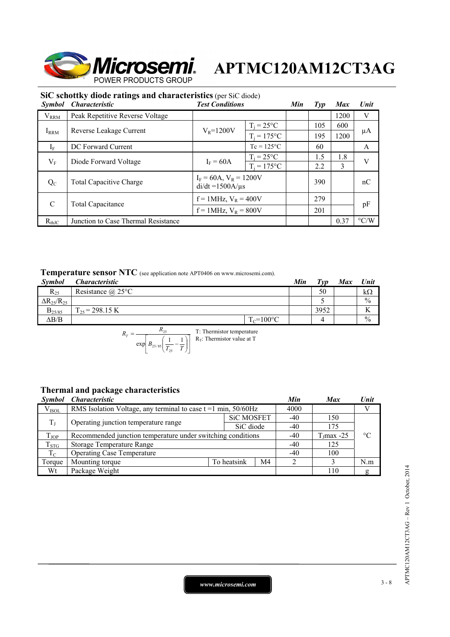

### **SiC schottky diode ratings and characteristics** (per SiC diode)

| <i>Symbol</i> | $\mathcal{L}$ of $\mathcal{L}$ and $\mathcal{L}$ and $\mathcal{L}$ and $\mathcal{L}$ and $\mathcal{L}$ and $\mathcal{L}$ and $\mathcal{L}$ and $\mathcal{L}$<br><i><b>Characteristic</b></i> | <b>Test Conditions</b>                               |                     | Min           | $\mathcal{I}yp$ | <b>Max</b> | Unit               |      |    |
|---------------|----------------------------------------------------------------------------------------------------------------------------------------------------------------------------------------------|------------------------------------------------------|---------------------|---------------|-----------------|------------|--------------------|------|----|
| $V_{\rm RRM}$ | Peak Repetitive Reverse Voltage                                                                                                                                                              |                                                      |                     |               |                 | 1200       | V                  |      |    |
|               |                                                                                                                                                                                              |                                                      | $T_i = 25^{\circ}C$ |               | 105             | 600        |                    |      |    |
| $I_{RRM}$     | Reverse Leakage Current                                                                                                                                                                      |                                                      |                     | $V_R = 1200V$ | $T_i = 175$ °C  |            | 195                | 1200 | μA |
| $I_F$         | DC Forward Current                                                                                                                                                                           |                                                      | $Tc = 125^{\circ}C$ |               | 60              |            | A                  |      |    |
| $V_{\rm F}$   | Diode Forward Voltage                                                                                                                                                                        | $I_F = 60A$                                          | $T_i = 25^{\circ}C$ |               | 1.5             | 1.8        | V                  |      |    |
|               |                                                                                                                                                                                              |                                                      | $T_i = 175$ °C      |               | 2.2             | 3          |                    |      |    |
| $Q_{C}$       | <b>Total Capacitive Charge</b>                                                                                                                                                               | $I_F = 60A$ , $V_R = 1200V$<br>$di/dt = 1500A/\mu s$ |                     |               | 390             |            | nC                 |      |    |
| C             | <b>Total Capacitance</b>                                                                                                                                                                     | $f = 1$ MHz, $V_R = 400V$                            |                     |               | 279             |            |                    |      |    |
|               |                                                                                                                                                                                              | $f = 1$ MHz, $V_R = 800V$                            |                     | 201           |                 |            | pF                 |      |    |
| $R_{thJC}$    | Junction to Case Thermal Resistance                                                                                                                                                          |                                                      |                     |               |                 | 0.37       | $\rm ^{\circ} C/W$ |      |    |

### **Temperature sensor NTC** (see application note APT0406 on www.microsemi.com).

| <b>Symbol</b>          | <i><b>Characteristic</b></i> |                | Min | Tvp  | Max | <b>Unit</b>   |
|------------------------|------------------------------|----------------|-----|------|-----|---------------|
| $R_{25}$               | Resistance $(a)$ 25°C        |                |     | 50   |     | $k\Omega$     |
| $\Delta R_{25}/R_{25}$ |                              |                |     |      |     | $\frac{0}{0}$ |
| $B_{25/85}$            | $\Gamma_{25}$ = 298.15 K     |                |     | 3952 |     | v v           |
| $\Delta B/B$           |                              | $T_c = 100$ °C |     |      |     | $\frac{0}{0}$ |

$$
R_T = \frac{R_{25}}{\exp\left[B_{25/85}\left(\frac{1}{T_{25}} - \frac{1}{T}\right)\right]}
$$
 T: Thermistor temperature

### **Thermal and package characteristics**

| <i><b>Symbol</b></i> | <i><b>Characteristic</b></i>                                        |             |                   | Min | <b>Max</b>    | Unit            |
|----------------------|---------------------------------------------------------------------|-------------|-------------------|-----|---------------|-----------------|
| $V_{ISOL}$           | RMS Isolation Voltage, any terminal to case $t = 1$ min, $50/60$ Hz |             |                   |     |               |                 |
| $T_{\rm J}$          | Operating junction temperature range                                |             | <b>SiC MOSFET</b> |     | 150           |                 |
|                      |                                                                     |             | SiC diode         | -40 | 175           |                 |
| $T_{JOP}$            | Recommended junction temperature under switching conditions         |             |                   |     | $T_1$ max -25 | $\rm ^{\circ}C$ |
| $T_{STG}$            | Storage Temperature Range                                           |             |                   |     | 125           |                 |
| $T_{\rm C}$          | <b>Operating Case Temperature</b>                                   | $-40$       | 100               |     |               |                 |
| Torque               | Mounting torque                                                     | To heatsink | M4                |     |               | N.m             |
| Wt                   | Package Weight                                                      |             |                   |     | 110           | g               |

*www.microsemi.com* 3-8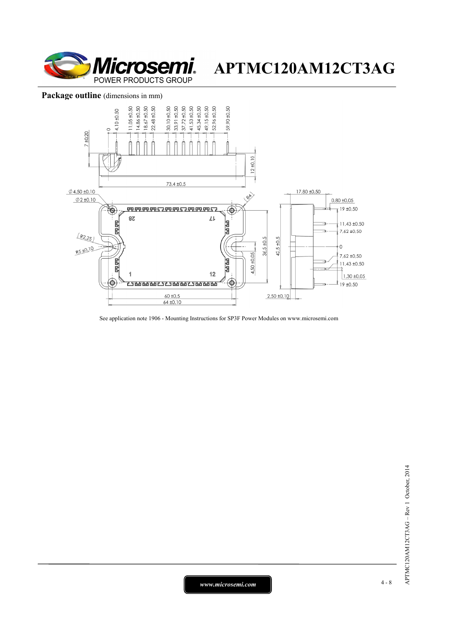

#### Package outline (dimensions in mm)



See application note 1906 - Mounting Instructions for SP3F Power Modules on www.microsemi.com

*www.microsemi.com* 4-8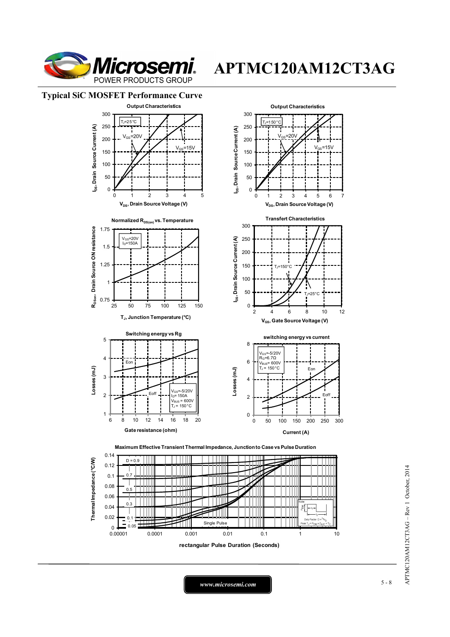

 $15V$ 

Eon

 $=25$ 

**E**off

#### **Typical SiC MOSFET Performance Curve**



0.14 Thermal Impedance (°C/W)  $D = 0.9$ **Thermal Impedance (°C/W)** 0.12 0.1 0.7 TIII Ш J. 0.08 חחר 0.5 0.06  $\cap$ 0.04  $\tilde{a}$ 0.02 0.1 Ш 0.05 Single Pulse eak T<sub>J</sub> =  $P_{DM}$  x Z<sub>0</sub>  $_{0.00001}^{0}$ 0.00001 0.0001 0.001 0.01 0.1 1 10 **rectangular Pulse Duration (Seconds)**

*www.microsemi.com* 5-8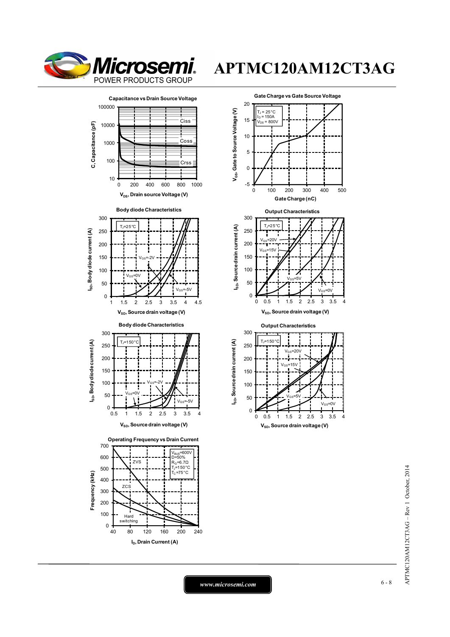





 $V_{SD}$ , Source drain voltage (V)

*www.microsemi.com* 6-8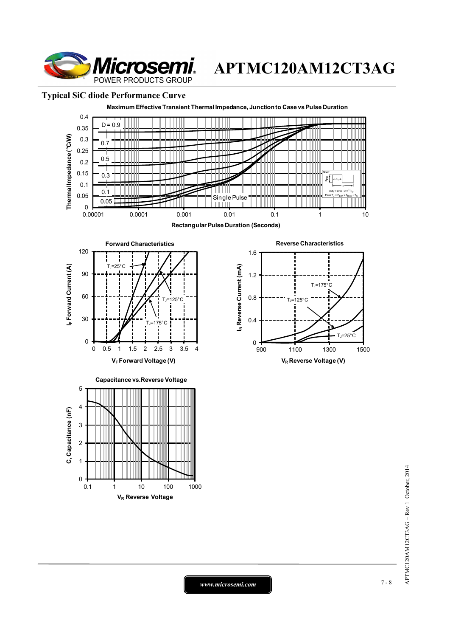

### **Typical SiC diode Performance Curve**



APTMC120AM12CT3AG - Rev 1 October, 2014 APTMC120AM12CT3AG – Rev 1 October, 2014

*www.microsemi.com* 7-8